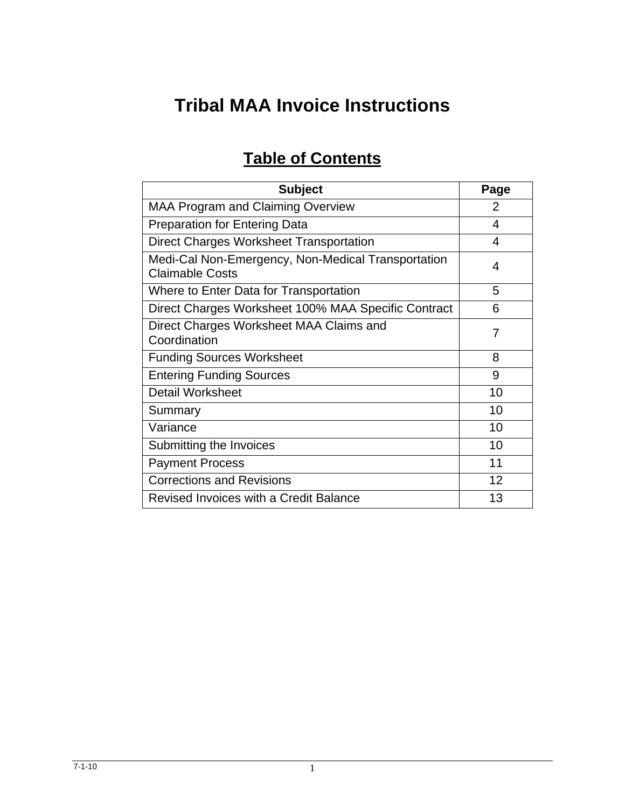# **Tribal MAA Invoice Instructions**

# **Table of Contents**

| <b>Subject</b>                                                               | Page |
|------------------------------------------------------------------------------|------|
| <b>MAA Program and Claiming Overview</b>                                     | 2    |
| <b>Preparation for Entering Data</b>                                         | 4    |
| Direct Charges Worksheet Transportation                                      | 4    |
| Medi-Cal Non-Emergency, Non-Medical Transportation<br><b>Claimable Costs</b> | 4    |
| Where to Enter Data for Transportation                                       | 5    |
| Direct Charges Worksheet 100% MAA Specific Contract                          | 6    |
| Direct Charges Worksheet MAA Claims and<br>Coordination                      | 7    |
| <b>Funding Sources Worksheet</b>                                             | 8    |
| <b>Entering Funding Sources</b>                                              | 9    |
| <b>Detail Worksheet</b>                                                      | 10   |
| Summary                                                                      | 10   |
| Variance                                                                     | 10   |
| Submitting the Invoices                                                      | 10   |
| <b>Payment Process</b>                                                       | 11   |
| <b>Corrections and Revisions</b>                                             | 12   |
| Revised Invoices with a Credit Balance                                       | 13   |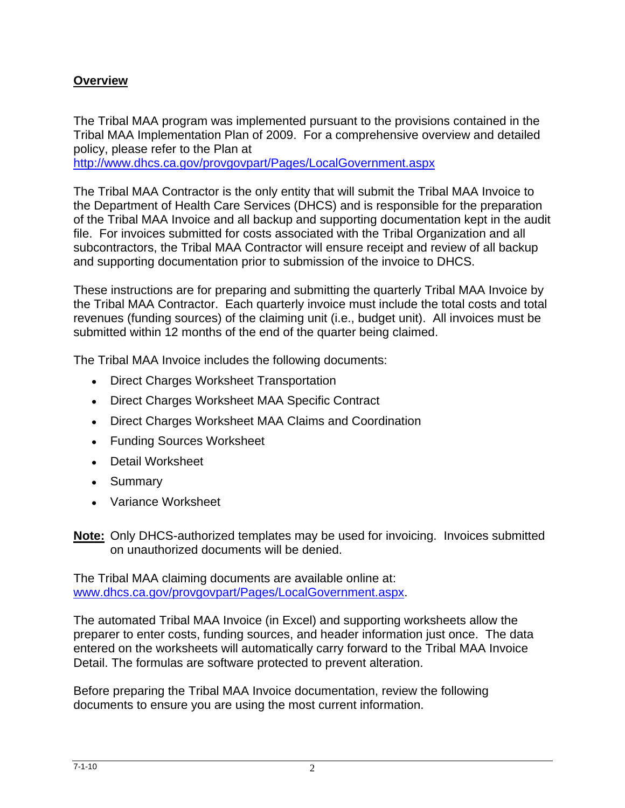## **Overview**

The Tribal MAA program was implemented pursuant to the provisions contained in the Tribal MAA Implementation Plan of 2009. For a comprehensive overview and detailed policy, please refer to the Plan at

<http://www.dhcs.ca.gov/provgovpart/Pages/LocalGovernment.aspx>

The Tribal MAA Contractor is the only entity that will submit the Tribal MAA Invoice to the Department of Health Care Services (DHCS) and is responsible for the preparation of the Tribal MAA Invoice and all backup and supporting documentation kept in the audit file. For invoices submitted for costs associated with the Tribal Organization and all subcontractors, the Tribal MAA Contractor will ensure receipt and review of all backup and supporting documentation prior to submission of the invoice to DHCS.

These instructions are for preparing and submitting the quarterly Tribal MAA Invoice by the Tribal MAA Contractor. Each quarterly invoice must include the total costs and total revenues (funding sources) of the claiming unit (i.e., budget unit). All invoices must be submitted within 12 months of the end of the quarter being claimed.

The Tribal MAA Invoice includes the following documents:

- Direct Charges Worksheet Transportation
- Direct Charges Worksheet MAA Specific Contract
- Direct Charges Worksheet MAA Claims and Coordination
- Funding Sources Worksheet
- Detail Worksheet
- Summary
- Variance Worksheet

**Note:** Only DHCS-authorized templates may be used for invoicing. Invoices submitted on unauthorized documents will be denied.

The Tribal MAA claiming documents are available online at: [www.dhcs.ca.gov/provgovpart/Pages/LocalGovernment.aspx.](http://www.dhcs.ca.gov/provgovpart/Pages/LocalGovernment.aspx)

The automated Tribal MAA Invoice (in Excel) and supporting worksheets allow the preparer to enter costs, funding sources, and header information just once. The data entered on the worksheets will automatically carry forward to the Tribal MAA Invoice Detail. The formulas are software protected to prevent alteration.

Before preparing the Tribal MAA Invoice documentation, review the following documents to ensure you are using the most current information.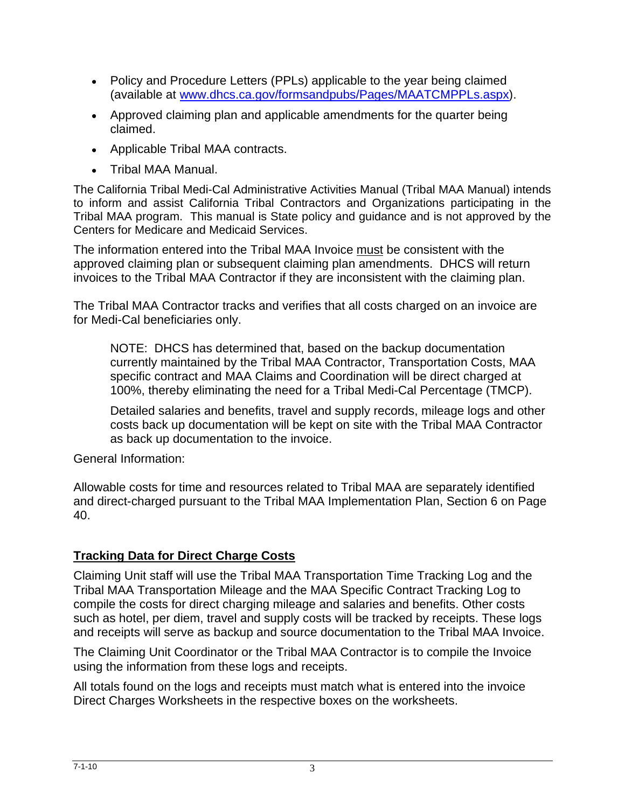- Policy and Procedure Letters (PPLs) applicable to the year being claimed (available at [www.dhcs.ca.gov/formsandpubs/Pages/MAATCMPPLs.aspx\)](http://www.dhcs.ca.gov/formsandpubs/Pages/MAATCMPPLs.aspx).
- Approved claiming plan and applicable amendments for the quarter being claimed.
- Applicable Tribal MAA contracts.
- Tribal MAA Manual.

The California Tribal Medi-Cal Administrative Activities Manual (Tribal MAA Manual) intends to inform and assist California Tribal Contractors and Organizations participating in the Tribal MAA program. This manual is State policy and guidance and is not approved by the Centers for Medicare and Medicaid Services.

The information entered into the Tribal MAA Invoice must be consistent with the approved claiming plan or subsequent claiming plan amendments. DHCS will return invoices to the Tribal MAA Contractor if they are inconsistent with the claiming plan.

The Tribal MAA Contractor tracks and verifies that all costs charged on an invoice are for Medi-Cal beneficiaries only.

NOTE: DHCS has determined that, based on the backup documentation currently maintained by the Tribal MAA Contractor, Transportation Costs, MAA specific contract and MAA Claims and Coordination will be direct charged at 100%, thereby eliminating the need for a Tribal Medi-Cal Percentage (TMCP).

Detailed salaries and benefits, travel and supply records, mileage logs and other costs back up documentation will be kept on site with the Tribal MAA Contractor as back up documentation to the invoice.

General Information:

Allowable costs for time and resources related to Tribal MAA are separately identified and direct-charged pursuant to the Tribal MAA Implementation Plan, Section 6 on Page 40.

## **Tracking Data for Direct Charge Costs**

Claiming Unit staff will use the Tribal MAA Transportation Time Tracking Log and the Tribal MAA Transportation Mileage and the MAA Specific Contract Tracking Log to compile the costs for direct charging mileage and salaries and benefits. Other costs such as hotel, per diem, travel and supply costs will be tracked by receipts. These logs and receipts will serve as backup and source documentation to the Tribal MAA Invoice.

The Claiming Unit Coordinator or the Tribal MAA Contractor is to compile the Invoice using the information from these logs and receipts.

All totals found on the logs and receipts must match what is entered into the invoice Direct Charges Worksheets in the respective boxes on the worksheets.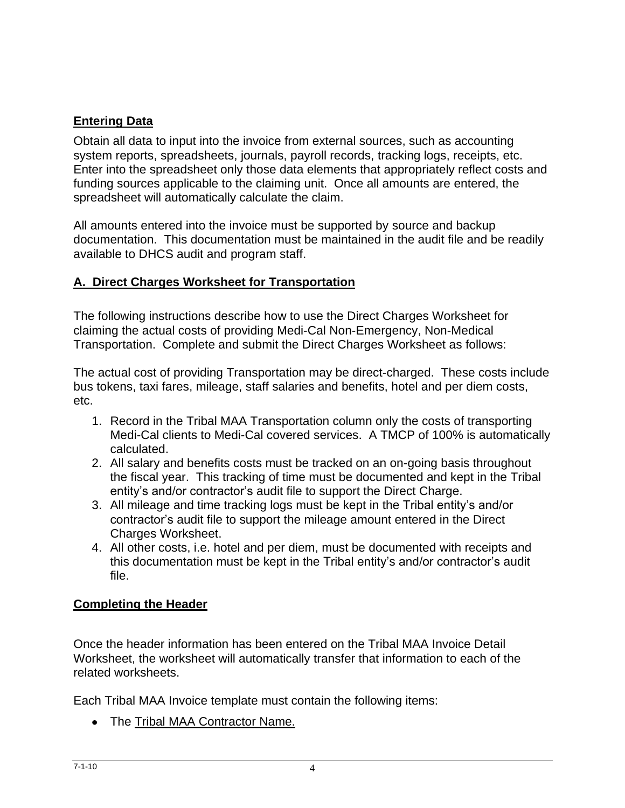## **Entering Data**

Obtain all data to input into the invoice from external sources, such as accounting system reports, spreadsheets, journals, payroll records, tracking logs, receipts, etc. Enter into the spreadsheet only those data elements that appropriately reflect costs and funding sources applicable to the claiming unit. Once all amounts are entered, the spreadsheet will automatically calculate the claim.

All amounts entered into the invoice must be supported by source and backup documentation. This documentation must be maintained in the audit file and be readily available to DHCS audit and program staff.

## **A. Direct Charges Worksheet for Transportation**

The following instructions describe how to use the Direct Charges Worksheet for claiming the actual costs of providing Medi-Cal Non-Emergency, Non-Medical Transportation. Complete and submit the Direct Charges Worksheet as follows:

The actual cost of providing Transportation may be direct-charged. These costs include bus tokens, taxi fares, mileage, staff salaries and benefits, hotel and per diem costs, etc.

- 1. Record in the Tribal MAA Transportation column only the costs of transporting Medi-Cal clients to Medi-Cal covered services. A TMCP of 100% is automatically calculated.
- 2. All salary and benefits costs must be tracked on an on-going basis throughout the fiscal year. This tracking of time must be documented and kept in the Tribal entity's and/or contractor's audit file to support the Direct Charge.
- 3. All mileage and time tracking logs must be kept in the Tribal entity's and/or contractor's audit file to support the mileage amount entered in the Direct Charges Worksheet.
- 4. All other costs, i.e. hotel and per diem, must be documented with receipts and this documentation must be kept in the Tribal entity's and/or contractor's audit file.

## **Completing the Header**

Once the header information has been entered on the Tribal MAA Invoice Detail Worksheet, the worksheet will automatically transfer that information to each of the related worksheets.

Each Tribal MAA Invoice template must contain the following items:

• The Tribal MAA Contractor Name.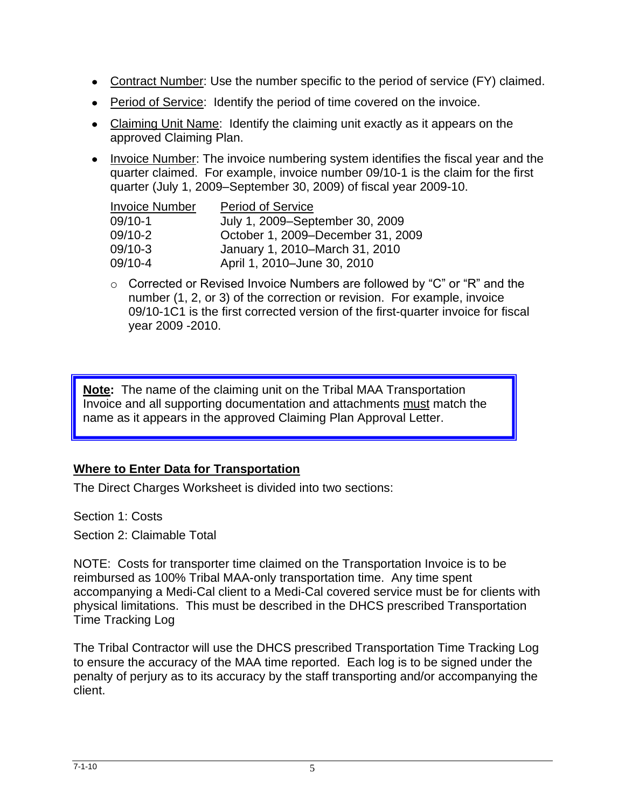- Contract Number: Use the number specific to the period of service (FY) claimed.
- Period of Service: Identify the period of time covered on the invoice.
- Claiming Unit Name: Identify the claiming unit exactly as it appears on the approved Claiming Plan.
- Invoice Number: The invoice numbering system identifies the fiscal year and the quarter claimed. For example, invoice number 09/10-1 is the claim for the first quarter (July 1, 2009–September 30, 2009) of fiscal year 2009-10.

| <b>Invoice Number</b> | <b>Period of Service</b>          |
|-----------------------|-----------------------------------|
| $09/10-1$             | July 1, 2009–September 30, 2009   |
| 09/10-2               | October 1, 2009-December 31, 2009 |
| $09/10-3$             | January 1, 2010–March 31, 2010    |
| 09/10-4               | April 1, 2010-June 30, 2010       |

o Corrected or Revised Invoice Numbers are followed by "C" or "R" and the number (1, 2, or 3) of the correction or revision. For example, invoice 09/10-1C1 is the first corrected version of the first-quarter invoice for fiscal year 2009 -2010.

**Note:** The name of the claiming unit on the Tribal MAA Transportation Invoice and all supporting documentation and attachments must match the name as it appears in the approved Claiming Plan Approval Letter.

## **Where to Enter Data for Transportation**

The Direct Charges Worksheet is divided into two sections:

Section 1: Costs

Section 2: Claimable Total

NOTE: Costs for transporter time claimed on the Transportation Invoice is to be reimbursed as 100% Tribal MAA-only transportation time. Any time spent accompanying a Medi-Cal client to a Medi-Cal covered service must be for clients with physical limitations. This must be described in the DHCS prescribed Transportation Time Tracking Log

The Tribal Contractor will use the DHCS prescribed Transportation Time Tracking Log to ensure the accuracy of the MAA time reported. Each log is to be signed under the penalty of perjury as to its accuracy by the staff transporting and/or accompanying the client.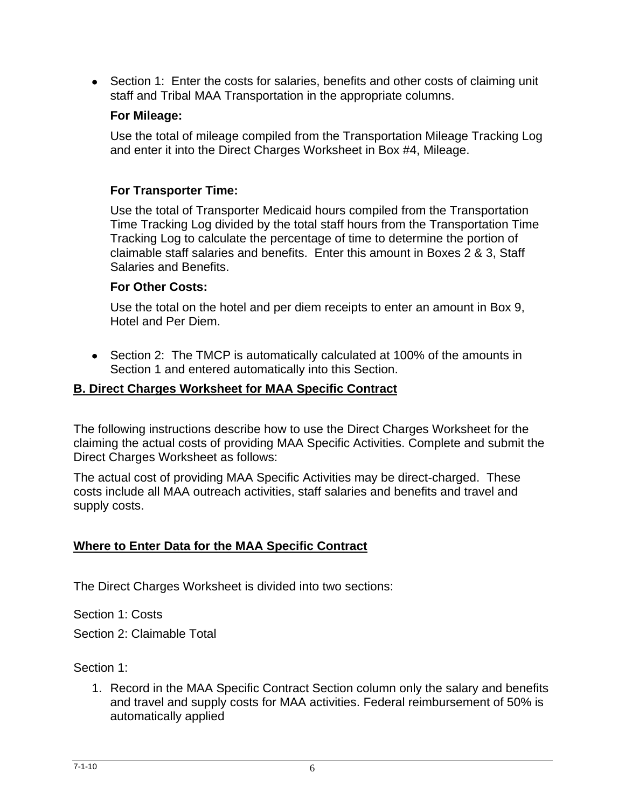• Section 1: Enter the costs for salaries, benefits and other costs of claiming unit staff and Tribal MAA Transportation in the appropriate columns.

#### **For Mileage:**

Use the total of mileage compiled from the Transportation Mileage Tracking Log and enter it into the Direct Charges Worksheet in Box #4, Mileage.

## **For Transporter Time:**

Use the total of Transporter Medicaid hours compiled from the Transportation Time Tracking Log divided by the total staff hours from the Transportation Time Tracking Log to calculate the percentage of time to determine the portion of claimable staff salaries and benefits. Enter this amount in Boxes 2 & 3, Staff Salaries and Benefits.

#### **For Other Costs:**

Use the total on the hotel and per diem receipts to enter an amount in Box 9, Hotel and Per Diem.

Section 2: The TMCP is automatically calculated at 100% of the amounts in Section 1 and entered automatically into this Section.

## **B. Direct Charges Worksheet for MAA Specific Contract**

The following instructions describe how to use the Direct Charges Worksheet for the claiming the actual costs of providing MAA Specific Activities. Complete and submit the Direct Charges Worksheet as follows:

The actual cost of providing MAA Specific Activities may be direct-charged. These costs include all MAA outreach activities, staff salaries and benefits and travel and supply costs.

## **Where to Enter Data for the MAA Specific Contract**

The Direct Charges Worksheet is divided into two sections:

Section 1: Costs

Section 2: Claimable Total

## Section 1:

1. Record in the MAA Specific Contract Section column only the salary and benefits and travel and supply costs for MAA activities. Federal reimbursement of 50% is automatically applied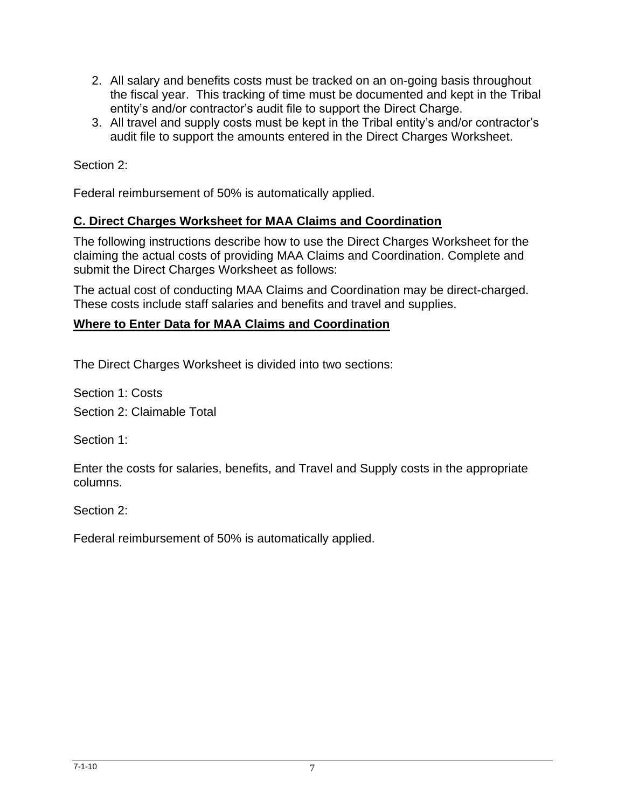- 2. All salary and benefits costs must be tracked on an on-going basis throughout the fiscal year. This tracking of time must be documented and kept in the Tribal entity's and/or contractor's audit file to support the Direct Charge.
- 3. All travel and supply costs must be kept in the Tribal entity's and/or contractor's audit file to support the amounts entered in the Direct Charges Worksheet.

Section 2:

Federal reimbursement of 50% is automatically applied.

#### **C. Direct Charges Worksheet for MAA Claims and Coordination**

The following instructions describe how to use the Direct Charges Worksheet for the claiming the actual costs of providing MAA Claims and Coordination. Complete and submit the Direct Charges Worksheet as follows:

The actual cost of conducting MAA Claims and Coordination may be direct-charged. These costs include staff salaries and benefits and travel and supplies.

#### **Where to Enter Data for MAA Claims and Coordination**

The Direct Charges Worksheet is divided into two sections:

Section 1: Costs Section 2: Claimable Total

Section 1:

Enter the costs for salaries, benefits, and Travel and Supply costs in the appropriate columns.

Section 2:

Federal reimbursement of 50% is automatically applied.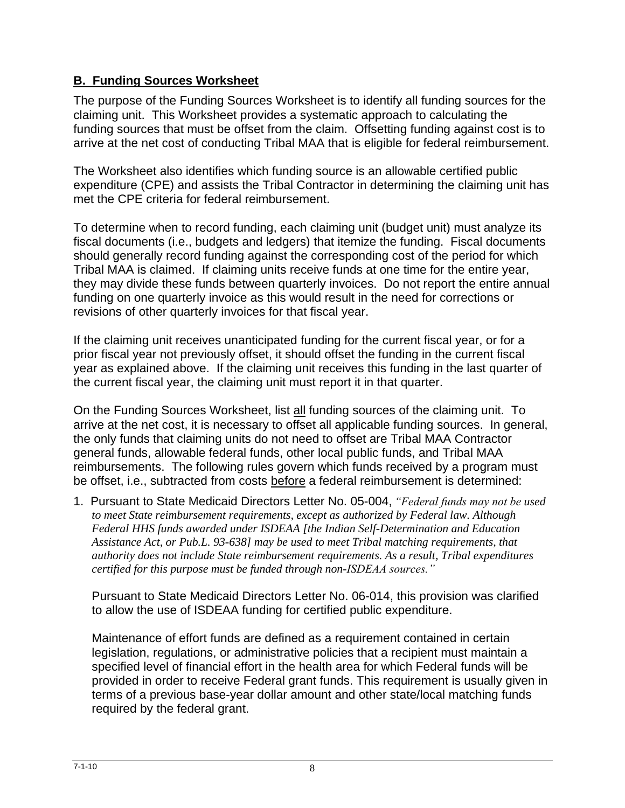## **B. Funding Sources Worksheet**

The purpose of the Funding Sources Worksheet is to identify all funding sources for the claiming unit. This Worksheet provides a systematic approach to calculating the funding sources that must be offset from the claim. Offsetting funding against cost is to arrive at the net cost of conducting Tribal MAA that is eligible for federal reimbursement.

The Worksheet also identifies which funding source is an allowable certified public expenditure (CPE) and assists the Tribal Contractor in determining the claiming unit has met the CPE criteria for federal reimbursement.

To determine when to record funding, each claiming unit (budget unit) must analyze its fiscal documents (i.e., budgets and ledgers) that itemize the funding. Fiscal documents should generally record funding against the corresponding cost of the period for which Tribal MAA is claimed. If claiming units receive funds at one time for the entire year, they may divide these funds between quarterly invoices. Do not report the entire annual funding on one quarterly invoice as this would result in the need for corrections or revisions of other quarterly invoices for that fiscal year.

If the claiming unit receives unanticipated funding for the current fiscal year, or for a prior fiscal year not previously offset, it should offset the funding in the current fiscal year as explained above. If the claiming unit receives this funding in the last quarter of the current fiscal year, the claiming unit must report it in that quarter.

On the Funding Sources Worksheet, list all funding sources of the claiming unit. To arrive at the net cost, it is necessary to offset all applicable funding sources. In general, the only funds that claiming units do not need to offset are Tribal MAA Contractor general funds, allowable federal funds, other local public funds, and Tribal MAA reimbursements. The following rules govern which funds received by a program must be offset, i.e., subtracted from costs before a federal reimbursement is determined:

1. Pursuant to State Medicaid Directors Letter No. 05-004, *"Federal funds may not be used to meet State reimbursement requirements, except as authorized by Federal law. Although Federal HHS funds awarded under ISDEAA [the Indian Self-Determination and Education Assistance Act, or Pub.L. 93-638] may be used to meet Tribal matching requirements, that authority does not include State reimbursement requirements. As a result, Tribal expenditures certified for this purpose must be funded through non-ISDEAA sources."* 

Pursuant to State Medicaid Directors Letter No. 06-014, this provision was clarified to allow the use of ISDEAA funding for certified public expenditure.

Maintenance of effort funds are defined as a requirement contained in certain legislation, regulations, or administrative policies that a recipient must maintain a specified level of financial effort in the health area for which Federal funds will be provided in order to receive Federal grant funds. This requirement is usually given in terms of a previous base-year dollar amount and other state/local matching funds required by the federal grant.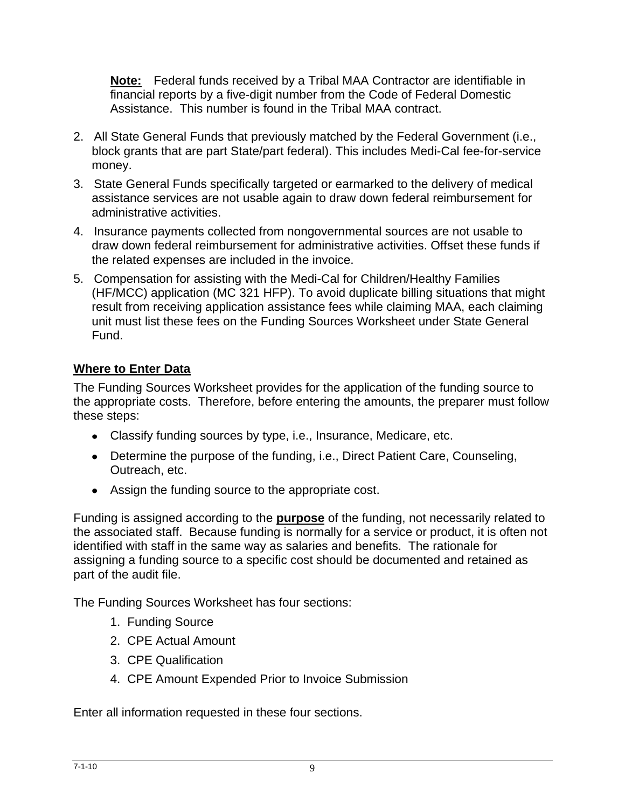**Note:** Federal funds received by a Tribal MAA Contractor are identifiable in financial reports by a five-digit number from the Code of Federal Domestic Assistance. This number is found in the Tribal MAA contract.

- 2. All State General Funds that previously matched by the Federal Government (i.e., block grants that are part State/part federal). This includes Medi-Cal fee-for-service money.
- 3. State General Funds specifically targeted or earmarked to the delivery of medical assistance services are not usable again to draw down federal reimbursement for administrative activities.
- 4. Insurance payments collected from nongovernmental sources are not usable to draw down federal reimbursement for administrative activities. Offset these funds if the related expenses are included in the invoice.
- 5. Compensation for assisting with the Medi-Cal for Children/Healthy Families (HF/MCC) application (MC 321 HFP). To avoid duplicate billing situations that might result from receiving application assistance fees while claiming MAA, each claiming unit must list these fees on the Funding Sources Worksheet under State General Fund.

## **Where to Enter Data**

The Funding Sources Worksheet provides for the application of the funding source to the appropriate costs. Therefore, before entering the amounts, the preparer must follow these steps:

- Classify funding sources by type, i.e., Insurance, Medicare, etc.
- Determine the purpose of the funding, i.e., Direct Patient Care, Counseling, Outreach, etc.
- Assign the funding source to the appropriate cost.

Funding is assigned according to the **purpose** of the funding, not necessarily related to the associated staff. Because funding is normally for a service or product, it is often not identified with staff in the same way as salaries and benefits. The rationale for assigning a funding source to a specific cost should be documented and retained as part of the audit file.

The Funding Sources Worksheet has four sections:

- 1. Funding Source
- 2. CPE Actual Amount
- 3. CPE Qualification
- 4. CPE Amount Expended Prior to Invoice Submission

Enter all information requested in these four sections.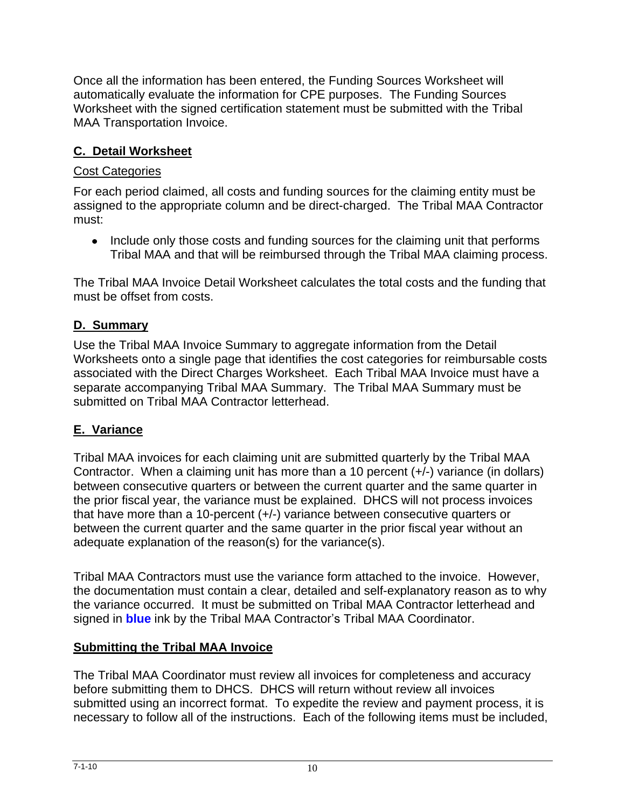Once all the information has been entered, the Funding Sources Worksheet will automatically evaluate the information for CPE purposes. The Funding Sources Worksheet with the signed certification statement must be submitted with the Tribal MAA Transportation Invoice.

## **C. Detail Worksheet**

## Cost Categories

For each period claimed, all costs and funding sources for the claiming entity must be assigned to the appropriate column and be direct-charged. The Tribal MAA Contractor must:

• Include only those costs and funding sources for the claiming unit that performs Tribal MAA and that will be reimbursed through the Tribal MAA claiming process.

The Tribal MAA Invoice Detail Worksheet calculates the total costs and the funding that must be offset from costs.

## **D. Summary**

Use the Tribal MAA Invoice Summary to aggregate information from the Detail Worksheets onto a single page that identifies the cost categories for reimbursable costs associated with the Direct Charges Worksheet. Each Tribal MAA Invoice must have a separate accompanying Tribal MAA Summary. The Tribal MAA Summary must be submitted on Tribal MAA Contractor letterhead.

## **E. Variance**

Tribal MAA invoices for each claiming unit are submitted quarterly by the Tribal MAA Contractor. When a claiming unit has more than a 10 percent (+/-) variance (in dollars) between consecutive quarters or between the current quarter and the same quarter in the prior fiscal year, the variance must be explained. DHCS will not process invoices that have more than a 10-percent (+/-) variance between consecutive quarters or between the current quarter and the same quarter in the prior fiscal year without an adequate explanation of the reason(s) for the variance(s).

Tribal MAA Contractors must use the variance form attached to the invoice. However, the documentation must contain a clear, detailed and self-explanatory reason as to why the variance occurred. It must be submitted on Tribal MAA Contractor letterhead and signed in **blue** ink by the Tribal MAA Contractor's Tribal MAA Coordinator.

## **Submitting the Tribal MAA Invoice**

The Tribal MAA Coordinator must review all invoices for completeness and accuracy before submitting them to DHCS. DHCS will return without review all invoices submitted using an incorrect format. To expedite the review and payment process, it is necessary to follow all of the instructions. Each of the following items must be included,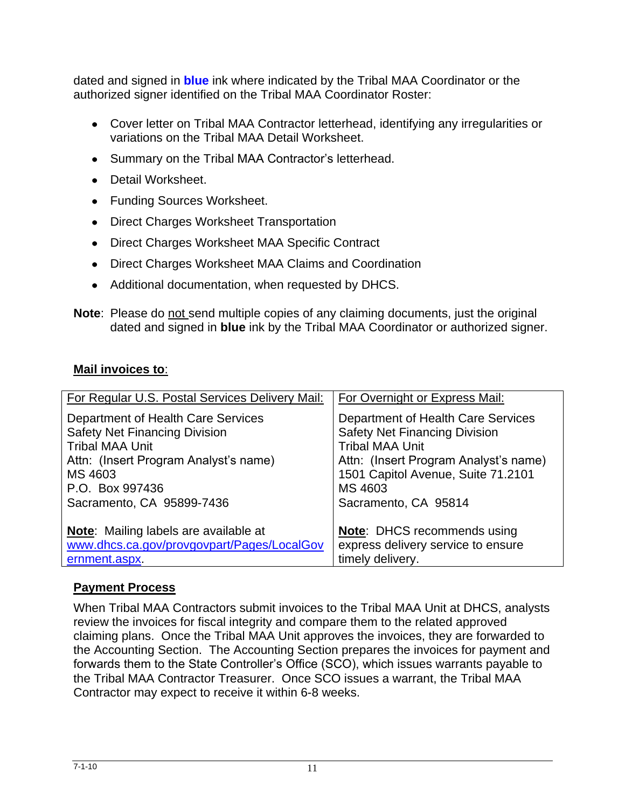dated and signed in **blue** ink where indicated by the Tribal MAA Coordinator or the authorized signer identified on the Tribal MAA Coordinator Roster:

- Cover letter on Tribal MAA Contractor letterhead, identifying any irregularities or variations on the Tribal MAA Detail Worksheet.
- Summary on the Tribal MAA Contractor's letterhead.
- Detail Worksheet.
- Funding Sources Worksheet.
- Direct Charges Worksheet Transportation
- Direct Charges Worksheet MAA Specific Contract
- Direct Charges Worksheet MAA Claims and Coordination
- Additional documentation, when requested by DHCS.

**Note:** Please do not send multiple copies of any claiming documents, just the original dated and signed in **blue** ink by the Tribal MAA Coordinator or authorized signer.

## **Mail invoices to**:

| For Regular U.S. Postal Services Delivery Mail: | For Overnight or Express Mail:        |
|-------------------------------------------------|---------------------------------------|
| Department of Health Care Services              | Department of Health Care Services    |
| <b>Safety Net Financing Division</b>            | <b>Safety Net Financing Division</b>  |
| <b>Tribal MAA Unit</b>                          | <b>Tribal MAA Unit</b>                |
| Attn: (Insert Program Analyst's name)           | Attn: (Insert Program Analyst's name) |
| MS 4603                                         | 1501 Capitol Avenue, Suite 71.2101    |
| P.O. Box 997436                                 | MS 4603                               |
| Sacramento, CA 95899-7436                       | Sacramento, CA 95814                  |
| <b>Note:</b> Mailing labels are available at    | <b>Note: DHCS recommends using</b>    |
| www.dhcs.ca.gov/provgovpart/Pages/LocalGov      | express delivery service to ensure    |
| ernment.aspx.                                   | timely delivery.                      |

## **Payment Process**

When Tribal MAA Contractors submit invoices to the Tribal MAA Unit at DHCS, analysts review the invoices for fiscal integrity and compare them to the related approved claiming plans. Once the Tribal MAA Unit approves the invoices, they are forwarded to the Accounting Section. The Accounting Section prepares the invoices for payment and forwards them to the State Controller's Office (SCO), which issues warrants payable to the Tribal MAA Contractor Treasurer. Once SCO issues a warrant, the Tribal MAA Contractor may expect to receive it within 6-8 weeks.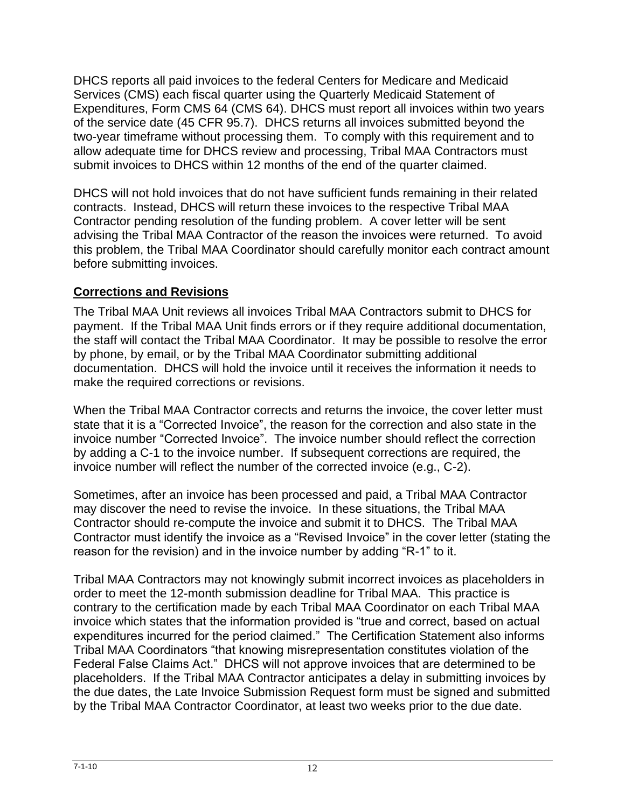DHCS reports all paid invoices to the federal Centers for Medicare and Medicaid Services (CMS) each fiscal quarter using the Quarterly Medicaid Statement of Expenditures, Form CMS 64 (CMS 64). DHCS must report all invoices within two years of the service date (45 CFR 95.7). DHCS returns all invoices submitted beyond the two-year timeframe without processing them. To comply with this requirement and to allow adequate time for DHCS review and processing, Tribal MAA Contractors must submit invoices to DHCS within 12 months of the end of the quarter claimed.

DHCS will not hold invoices that do not have sufficient funds remaining in their related contracts. Instead, DHCS will return these invoices to the respective Tribal MAA Contractor pending resolution of the funding problem. A cover letter will be sent advising the Tribal MAA Contractor of the reason the invoices were returned. To avoid this problem, the Tribal MAA Coordinator should carefully monitor each contract amount before submitting invoices.

## **Corrections and Revisions**

The Tribal MAA Unit reviews all invoices Tribal MAA Contractors submit to DHCS for payment. If the Tribal MAA Unit finds errors or if they require additional documentation, the staff will contact the Tribal MAA Coordinator. It may be possible to resolve the error by phone, by email, or by the Tribal MAA Coordinator submitting additional documentation. DHCS will hold the invoice until it receives the information it needs to make the required corrections or revisions.

When the Tribal MAA Contractor corrects and returns the invoice, the cover letter must state that it is a "Corrected Invoice", the reason for the correction and also state in the invoice number "Corrected Invoice". The invoice number should reflect the correction by adding a C-1 to the invoice number. If subsequent corrections are required, the invoice number will reflect the number of the corrected invoice (e.g., C-2).

Sometimes, after an invoice has been processed and paid, a Tribal MAA Contractor may discover the need to revise the invoice. In these situations, the Tribal MAA Contractor should re-compute the invoice and submit it to DHCS. The Tribal MAA Contractor must identify the invoice as a "Revised Invoice" in the cover letter (stating the reason for the revision) and in the invoice number by adding "R-1" to it.

Tribal MAA Contractors may not knowingly submit incorrect invoices as placeholders in order to meet the 12-month submission deadline for Tribal MAA. This practice is contrary to the certification made by each Tribal MAA Coordinator on each Tribal MAA invoice which states that the information provided is "true and correct, based on actual expenditures incurred for the period claimed." The Certification Statement also informs Tribal MAA Coordinators "that knowing misrepresentation constitutes violation of the Federal False Claims Act." DHCS will not approve invoices that are determined to be placeholders. If the Tribal MAA Contractor anticipates a delay in submitting invoices by the due dates, the Late Invoice Submission Request form must be signed and submitted by the Tribal MAA Contractor Coordinator, at least two weeks prior to the due date.